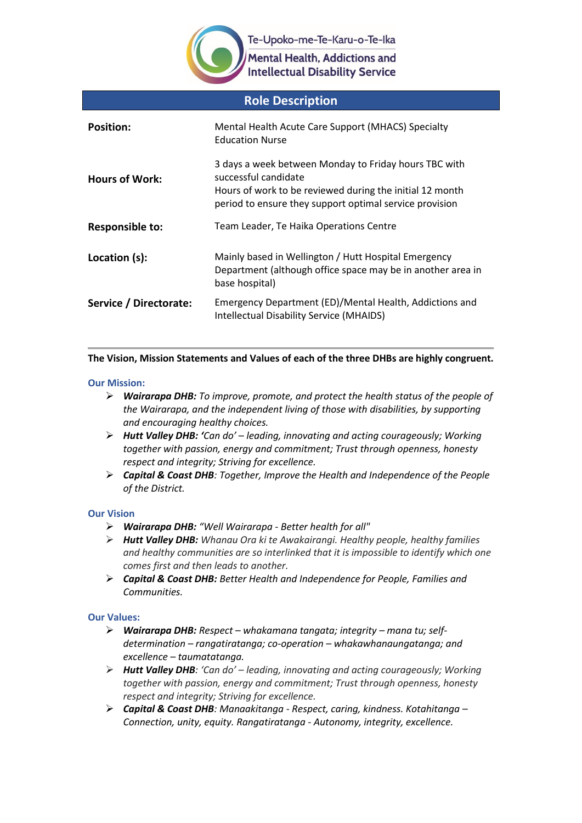

Mental Health, Addictions and **Intellectual Disability Service** 

| <b>Role Description</b> |                                                                                                                                                                                                      |  |  |
|-------------------------|------------------------------------------------------------------------------------------------------------------------------------------------------------------------------------------------------|--|--|
| <b>Position:</b>        | Mental Health Acute Care Support (MHACS) Specialty<br><b>Education Nurse</b>                                                                                                                         |  |  |
| <b>Hours of Work:</b>   | 3 days a week between Monday to Friday hours TBC with<br>successful candidate<br>Hours of work to be reviewed during the initial 12 month<br>period to ensure they support optimal service provision |  |  |
| <b>Responsible to:</b>  | Team Leader, Te Haika Operations Centre                                                                                                                                                              |  |  |
| Location (s):           | Mainly based in Wellington / Hutt Hospital Emergency<br>Department (although office space may be in another area in<br>base hospital)                                                                |  |  |
| Service / Directorate:  | Emergency Department (ED)/Mental Health, Addictions and<br>Intellectual Disability Service (MHAIDS)                                                                                                  |  |  |

## **The Vision, Mission Statements and Values of each of the three DHBs are highly congruent.**

### **Our Mission:**

- *Wairarapa DHB: To improve, promote, and protect the health status of the people of the Wairarapa, and the independent living of those with disabilities, by supporting and encouraging healthy choices.*
- *Hutt Valley DHB: 'Can do' – leading, innovating and acting courageously; Working together with passion, energy and commitment; Trust through openness, honesty respect and integrity; Striving for excellence.*
- *Capital & Coast DHB: Together, Improve the Health and Independence of the People of the District.*

### **Our Vision**

- *Wairarapa DHB: "Well Wairarapa - Better health for all"*
- *Hutt Valley DHB: Whanau Ora ki te Awakairangi. Healthy people, healthy families and healthy communities are so interlinked that it is impossible to identify which one comes first and then leads to another.*
- *Capital & Coast DHB: Better Health and Independence for People, Families and Communities.*

### **Our Values:**

- *Wairarapa DHB: Respect – whakamana tangata; integrity – mana tu; selfdetermination – rangatiratanga; co-operation – whakawhanaungatanga; and excellence – taumatatanga.*
- *Hutt Valley DHB: 'Can do' – leading, innovating and acting courageously; Working together with passion, energy and commitment; Trust through openness, honesty respect and integrity; Striving for excellence.*
- *Capital & Coast DHB: Manaakitanga - Respect, caring, kindness. Kotahitanga – Connection, unity, equity. Rangatiratanga - Autonomy, integrity, excellence.*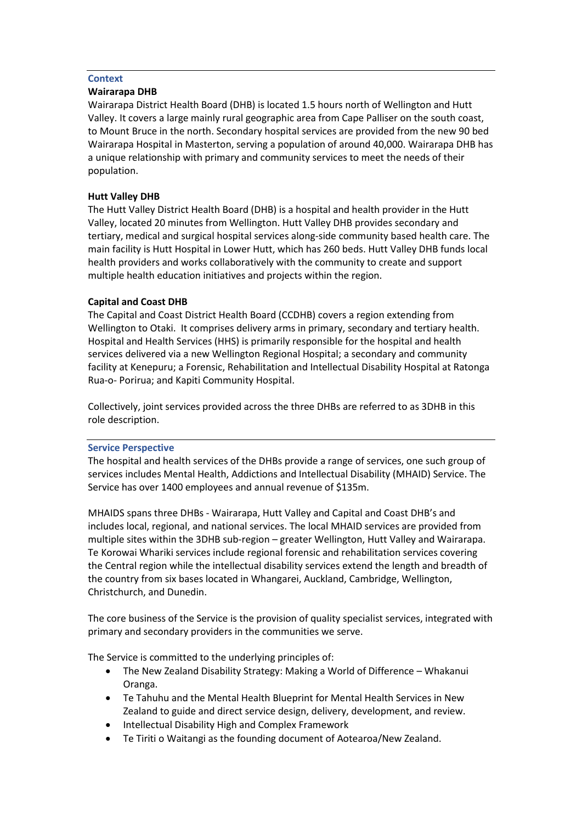### **Context**

### **Wairarapa DHB**

Wairarapa District Health Board (DHB) is located 1.5 hours north of Wellington and Hutt Valley. It covers a large mainly rural geographic area from Cape Palliser on the south coast, to Mount Bruce in the north. Secondary hospital services are provided from the new 90 bed Wairarapa Hospital in Masterton, serving a population of around 40,000. Wairarapa DHB has a unique relationship with primary and community services to meet the needs of their population.

### **Hutt Valley DHB**

The Hutt Valley District Health Board (DHB) is a hospital and health provider in the Hutt Valley, located 20 minutes from Wellington. Hutt Valley DHB provides secondary and tertiary, medical and surgical hospital services along-side community based health care. The main facility is Hutt Hospital in Lower Hutt, which has 260 beds. Hutt Valley DHB funds local health providers and works collaboratively with the community to create and support multiple health education initiatives and projects within the region.

### **Capital and Coast DHB**

The Capital and Coast District Health Board (CCDHB) covers a region extending from Wellington to Otaki. It comprises delivery arms in primary, secondary and tertiary health. Hospital and Health Services (HHS) is primarily responsible for the hospital and health services delivered via a new Wellington Regional Hospital; a secondary and community facility at Kenepuru; a Forensic, Rehabilitation and Intellectual Disability Hospital at Ratonga Rua-o- Porirua; and Kapiti Community Hospital.

Collectively, joint services provided across the three DHBs are referred to as 3DHB in this role description.

### **Service Perspective**

The hospital and health services of the DHBs provide a range of services, one such group of services includes Mental Health, Addictions and Intellectual Disability (MHAID) Service. The Service has over 1400 employees and annual revenue of \$135m.

MHAIDS spans three DHBs - Wairarapa, Hutt Valley and Capital and Coast DHB's and includes local, regional, and national services. The local MHAID services are provided from multiple sites within the 3DHB sub-region – greater Wellington, Hutt Valley and Wairarapa. Te Korowai Whariki services include regional forensic and rehabilitation services covering the Central region while the intellectual disability services extend the length and breadth of the country from six bases located in Whangarei, Auckland, Cambridge, Wellington, Christchurch, and Dunedin.

The core business of the Service is the provision of quality specialist services, integrated with primary and secondary providers in the communities we serve.

The Service is committed to the underlying principles of:

- The New Zealand Disability Strategy: Making a World of Difference Whakanui Oranga.
- Te Tahuhu and the Mental Health Blueprint for Mental Health Services in New Zealand to guide and direct service design, delivery, development, and review.
- Intellectual Disability High and Complex Framework
- Te Tiriti o Waitangi as the founding document of Aotearoa/New Zealand.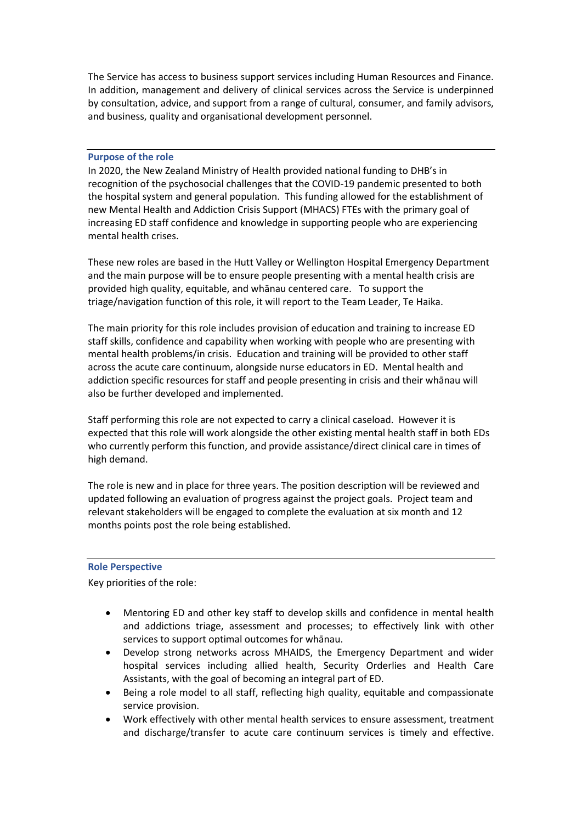The Service has access to business support services including Human Resources and Finance. In addition, management and delivery of clinical services across the Service is underpinned by consultation, advice, and support from a range of cultural, consumer, and family advisors, and business, quality and organisational development personnel.

#### **Purpose of the role**

In 2020, the New Zealand Ministry of Health provided national funding to DHB's in recognition of the psychosocial challenges that the COVID-19 pandemic presented to both the hospital system and general population. This funding allowed for the establishment of new Mental Health and Addiction Crisis Support (MHACS) FTEs with the primary goal of increasing ED staff confidence and knowledge in supporting people who are experiencing mental health crises.

These new roles are based in the Hutt Valley or Wellington Hospital Emergency Department and the main purpose will be to ensure people presenting with a mental health crisis are provided high quality, equitable, and whānau centered care. To support the triage/navigation function of this role, it will report to the Team Leader, Te Haika.

The main priority for this role includes provision of education and training to increase ED staff skills, confidence and capability when working with people who are presenting with mental health problems/in crisis. Education and training will be provided to other staff across the acute care continuum, alongside nurse educators in ED. Mental health and addiction specific resources for staff and people presenting in crisis and their whānau will also be further developed and implemented.

Staff performing this role are not expected to carry a clinical caseload. However it is expected that this role will work alongside the other existing mental health staff in both EDs who currently perform this function, and provide assistance/direct clinical care in times of high demand.

The role is new and in place for three years. The position description will be reviewed and updated following an evaluation of progress against the project goals. Project team and relevant stakeholders will be engaged to complete the evaluation at six month and 12 months points post the role being established.

### **Role Perspective**

Key priorities of the role:

- Mentoring ED and other key staff to develop skills and confidence in mental health and addictions triage, assessment and processes; to effectively link with other services to support optimal outcomes for whānau.
- Develop strong networks across MHAIDS, the Emergency Department and wider hospital services including allied health, Security Orderlies and Health Care Assistants, with the goal of becoming an integral part of ED.
- Being a role model to all staff, reflecting high quality, equitable and compassionate service provision.
- Work effectively with other mental health services to ensure assessment, treatment and discharge/transfer to acute care continuum services is timely and effective.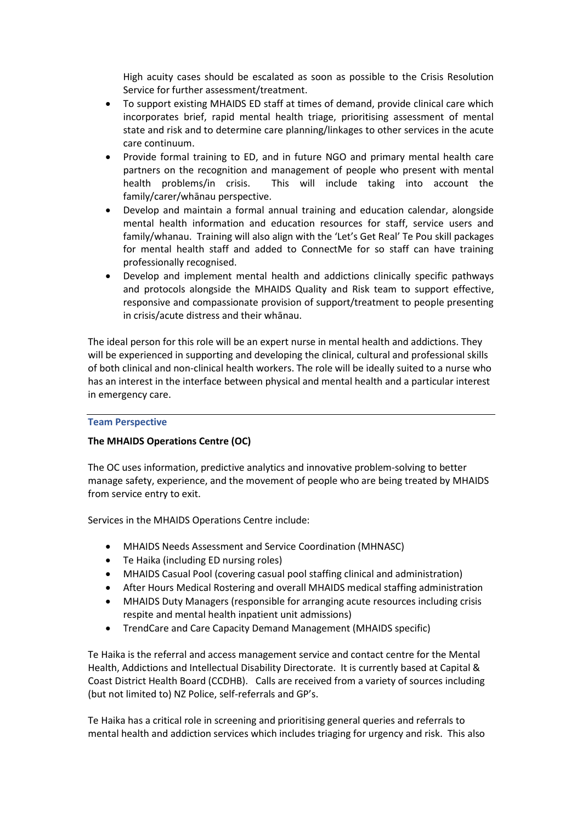High acuity cases should be escalated as soon as possible to the Crisis Resolution Service for further assessment/treatment.

- To support existing MHAIDS ED staff at times of demand, provide clinical care which incorporates brief, rapid mental health triage, prioritising assessment of mental state and risk and to determine care planning/linkages to other services in the acute care continuum.
- Provide formal training to ED, and in future NGO and primary mental health care partners on the recognition and management of people who present with mental health problems/in crisis. This will include taking into account the family/carer/whānau perspective.
- Develop and maintain a formal annual training and education calendar, alongside mental health information and education resources for staff, service users and family/whanau. Training will also align with the 'Let's Get Real' Te Pou skill packages for mental health staff and added to ConnectMe for so staff can have training professionally recognised.
- Develop and implement mental health and addictions clinically specific pathways and protocols alongside the MHAIDS Quality and Risk team to support effective, responsive and compassionate provision of support/treatment to people presenting in crisis/acute distress and their whānau.

The ideal person for this role will be an expert nurse in mental health and addictions. They will be experienced in supporting and developing the clinical, cultural and professional skills of both clinical and non-clinical health workers. The role will be ideally suited to a nurse who has an interest in the interface between physical and mental health and a particular interest in emergency care.

### **Team Perspective**

### **The MHAIDS Operations Centre (OC)**

The OC uses information, predictive analytics and innovative problem-solving to better manage safety, experience, and the movement of people who are being treated by MHAIDS from service entry to exit.

Services in the MHAIDS Operations Centre include:

- MHAIDS Needs Assessment and Service Coordination (MHNASC)
- Te Haika (including ED nursing roles)
- MHAIDS Casual Pool (covering casual pool staffing clinical and administration)
- After Hours Medical Rostering and overall MHAIDS medical staffing administration
- MHAIDS Duty Managers (responsible for arranging acute resources including crisis respite and mental health inpatient unit admissions)
- TrendCare and Care Capacity Demand Management (MHAIDS specific)

Te Haika is the referral and access management service and contact centre for the Mental Health, Addictions and Intellectual Disability Directorate. It is currently based at Capital & Coast District Health Board (CCDHB). Calls are received from a variety of sources including (but not limited to) NZ Police, self-referrals and GP's.

Te Haika has a critical role in screening and prioritising general queries and referrals to mental health and addiction services which includes triaging for urgency and risk. This also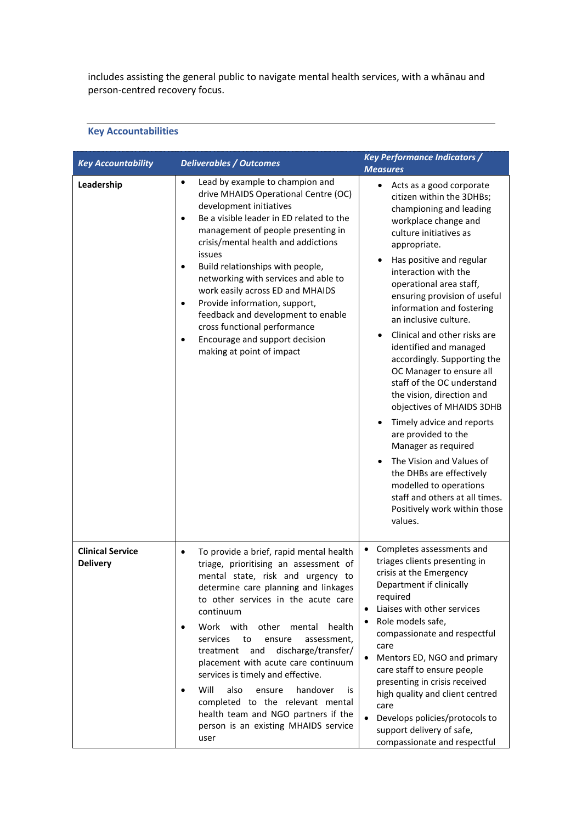includes assisting the general public to navigate mental health services, with a whānau and person-centred recovery focus.

# **Key Accountabilities**

| <b>Key Accountability</b>                  | <b>Deliverables / Outcomes</b>                                                                                                                                                                                                                                                                                                                                                                                                                                                                                                                                                                                                            | <b>Key Performance Indicators /</b><br><b>Measures</b>                                                                                                                                                                                                                                                                                                                                                                                                                                                                                                                                                                                                                                                                                                                                                                                  |
|--------------------------------------------|-------------------------------------------------------------------------------------------------------------------------------------------------------------------------------------------------------------------------------------------------------------------------------------------------------------------------------------------------------------------------------------------------------------------------------------------------------------------------------------------------------------------------------------------------------------------------------------------------------------------------------------------|-----------------------------------------------------------------------------------------------------------------------------------------------------------------------------------------------------------------------------------------------------------------------------------------------------------------------------------------------------------------------------------------------------------------------------------------------------------------------------------------------------------------------------------------------------------------------------------------------------------------------------------------------------------------------------------------------------------------------------------------------------------------------------------------------------------------------------------------|
| Leadership                                 | Lead by example to champion and<br>$\bullet$<br>drive MHAIDS Operational Centre (OC)<br>development initiatives<br>Be a visible leader in ED related to the<br>$\bullet$<br>management of people presenting in<br>crisis/mental health and addictions<br>issues<br>Build relationships with people,<br>$\bullet$<br>networking with services and able to<br>work easily across ED and MHAIDS<br>Provide information, support,<br>$\bullet$<br>feedback and development to enable<br>cross functional performance<br>Encourage and support decision<br>$\bullet$<br>making at point of impact                                              | Acts as a good corporate<br>$\bullet$<br>citizen within the 3DHBs;<br>championing and leading<br>workplace change and<br>culture initiatives as<br>appropriate.<br>Has positive and regular<br>$\bullet$<br>interaction with the<br>operational area staff,<br>ensuring provision of useful<br>information and fostering<br>an inclusive culture.<br>Clinical and other risks are<br>$\bullet$<br>identified and managed<br>accordingly. Supporting the<br>OC Manager to ensure all<br>staff of the OC understand<br>the vision, direction and<br>objectives of MHAIDS 3DHB<br>Timely advice and reports<br>٠<br>are provided to the<br>Manager as required<br>The Vision and Values of<br>$\bullet$<br>the DHBs are effectively<br>modelled to operations<br>staff and others at all times.<br>Positively work within those<br>values. |
| <b>Clinical Service</b><br><b>Delivery</b> | To provide a brief, rapid mental health<br>$\bullet$<br>triage, prioritising an assessment of<br>mental state, risk and urgency to<br>determine care planning and linkages<br>to other services in the acute care<br>continuum<br>Work with other<br>mental<br>health<br>$\bullet$<br>services<br>to<br>ensure<br>assessment,<br>discharge/transfer/<br>treatment<br>and<br>placement with acute care continuum<br>services is timely and effective.<br>Will<br>also<br>handover<br>ensure<br>is.<br>$\bullet$<br>completed to the relevant mental<br>health team and NGO partners if the<br>person is an existing MHAIDS service<br>user | Completes assessments and<br>$\bullet$<br>triages clients presenting in<br>crisis at the Emergency<br>Department if clinically<br>required<br>Liaises with other services<br>$\bullet$<br>Role models safe,<br>compassionate and respectful<br>care<br>Mentors ED, NGO and primary<br>$\bullet$<br>care staff to ensure people<br>presenting in crisis received<br>high quality and client centred<br>care<br>Develops policies/protocols to<br>support delivery of safe,<br>compassionate and respectful                                                                                                                                                                                                                                                                                                                               |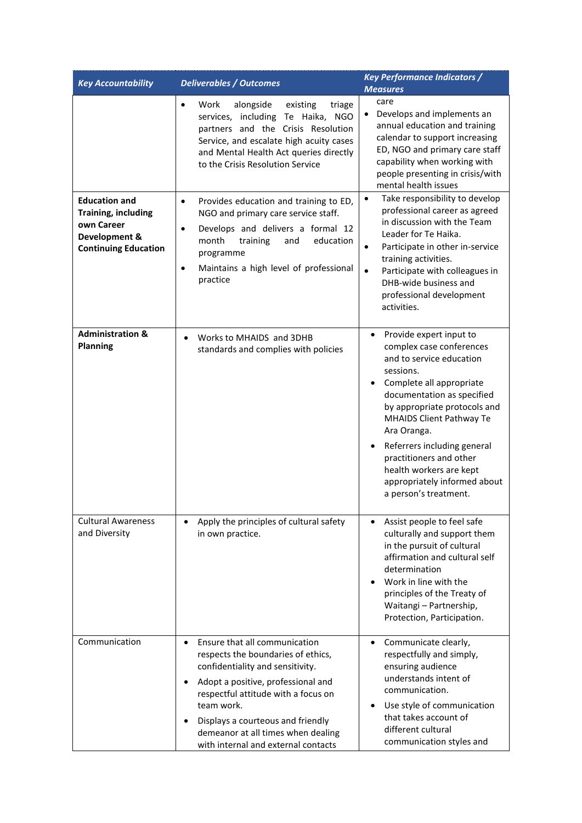| <b>Key Accountability</b>                                                                                 | <b>Deliverables / Outcomes</b>                                                                                                                                                                                                                                                                                                                 | <b>Key Performance Indicators /</b><br><b>Measures</b>                                                                                                                                                                                                                                                                                                                                       |
|-----------------------------------------------------------------------------------------------------------|------------------------------------------------------------------------------------------------------------------------------------------------------------------------------------------------------------------------------------------------------------------------------------------------------------------------------------------------|----------------------------------------------------------------------------------------------------------------------------------------------------------------------------------------------------------------------------------------------------------------------------------------------------------------------------------------------------------------------------------------------|
|                                                                                                           | Work<br>alongside<br>existing<br>triage<br>$\bullet$<br>services, including Te Haika, NGO<br>partners and the Crisis Resolution<br>Service, and escalate high acuity cases<br>and Mental Health Act queries directly<br>to the Crisis Resolution Service                                                                                       | care<br>Develops and implements an<br>$\bullet$<br>annual education and training<br>calendar to support increasing<br>ED, NGO and primary care staff<br>capability when working with<br>people presenting in crisis/with<br>mental health issues                                                                                                                                             |
| <b>Education and</b><br>Training, including<br>own Career<br>Development &<br><b>Continuing Education</b> | Provides education and training to ED,<br>$\bullet$<br>NGO and primary care service staff.<br>Develops and delivers a formal 12<br>$\bullet$<br>training<br>education<br>month<br>and<br>programme<br>Maintains a high level of professional<br>$\bullet$<br>practice                                                                          | Take responsibility to develop<br>$\bullet$<br>professional career as agreed<br>in discussion with the Team<br>Leader for Te Haika.<br>Participate in other in-service<br>$\bullet$<br>training activities.<br>Participate with colleagues in<br>$\bullet$<br>DHB-wide business and<br>professional development<br>activities.                                                               |
| <b>Administration &amp;</b><br><b>Planning</b>                                                            | Works to MHAIDS and 3DHB<br>$\bullet$<br>standards and complies with policies                                                                                                                                                                                                                                                                  | Provide expert input to<br>$\bullet$<br>complex case conferences<br>and to service education<br>sessions.<br>Complete all appropriate<br>documentation as specified<br>by appropriate protocols and<br>MHAIDS Client Pathway Te<br>Ara Oranga.<br>Referrers including general<br>practitioners and other<br>health workers are kept<br>appropriately informed about<br>a person's treatment. |
| <b>Cultural Awareness</b><br>and Diversity                                                                | Apply the principles of cultural safety<br>in own practice.                                                                                                                                                                                                                                                                                    | Assist people to feel safe<br>culturally and support them<br>in the pursuit of cultural<br>affirmation and cultural self<br>determination<br>Work in line with the<br>principles of the Treaty of<br>Waitangi - Partnership,<br>Protection, Participation.                                                                                                                                   |
| Communication                                                                                             | Ensure that all communication<br>$\bullet$<br>respects the boundaries of ethics,<br>confidentiality and sensitivity.<br>Adopt a positive, professional and<br>$\bullet$<br>respectful attitude with a focus on<br>team work.<br>Displays a courteous and friendly<br>demeanor at all times when dealing<br>with internal and external contacts | • Communicate clearly,<br>respectfully and simply,<br>ensuring audience<br>understands intent of<br>communication.<br>Use style of communication<br>that takes account of<br>different cultural<br>communication styles and                                                                                                                                                                  |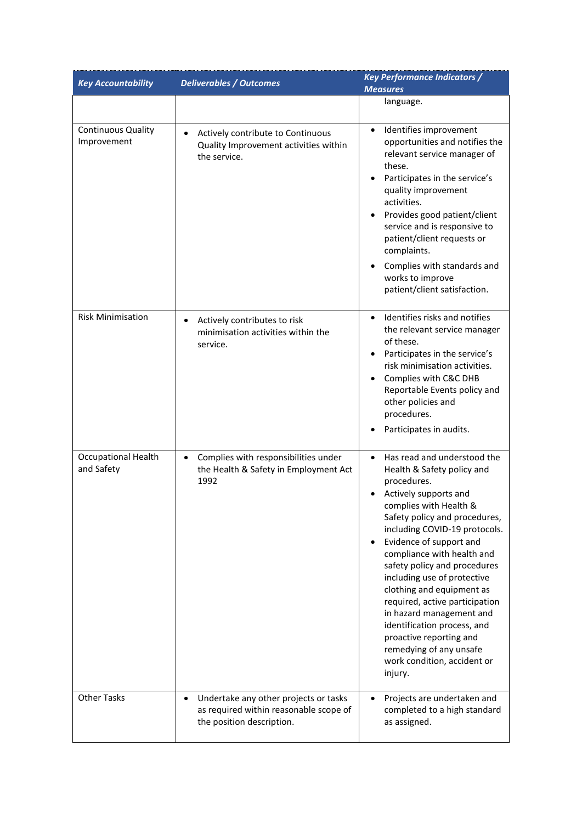| <b>Key Accountability</b>                | <b>Deliverables / Outcomes</b>                                                                                            | <b>Key Performance Indicators /</b><br><b>Measures</b>                                                                                                                                                                                                                                                                                                                                                                                                                                                                                                                    |  |
|------------------------------------------|---------------------------------------------------------------------------------------------------------------------------|---------------------------------------------------------------------------------------------------------------------------------------------------------------------------------------------------------------------------------------------------------------------------------------------------------------------------------------------------------------------------------------------------------------------------------------------------------------------------------------------------------------------------------------------------------------------------|--|
|                                          |                                                                                                                           | language.                                                                                                                                                                                                                                                                                                                                                                                                                                                                                                                                                                 |  |
| <b>Continuous Quality</b><br>Improvement | Actively contribute to Continuous<br>$\bullet$<br>Quality Improvement activities within<br>the service.                   | Identifies improvement<br>$\bullet$<br>opportunities and notifies the<br>relevant service manager of<br>these.<br>Participates in the service's<br>quality improvement<br>activities.<br>Provides good patient/client<br>service and is responsive to<br>patient/client requests or<br>complaints.<br>Complies with standards and<br>$\bullet$<br>works to improve<br>patient/client satisfaction.                                                                                                                                                                        |  |
| <b>Risk Minimisation</b>                 | Actively contributes to risk<br>$\bullet$<br>minimisation activities within the<br>service.                               | Identifies risks and notifies<br>$\bullet$<br>the relevant service manager<br>of these.<br>Participates in the service's<br>٠<br>risk minimisation activities.<br>Complies with C&C DHB<br>٠<br>Reportable Events policy and<br>other policies and<br>procedures.<br>Participates in audits.                                                                                                                                                                                                                                                                              |  |
| <b>Occupational Health</b><br>and Safety | Complies with responsibilities under<br>$\bullet$<br>the Health & Safety in Employment Act<br>1992                        | Has read and understood the<br>$\bullet$<br>Health & Safety policy and<br>procedures.<br>Actively supports and<br>complies with Health &<br>Safety policy and procedures,<br>including COVID-19 protocols.<br>Evidence of support and<br>$\bullet$<br>compliance with health and<br>safety policy and procedures<br>including use of protective<br>clothing and equipment as<br>required, active participation<br>in hazard management and<br>identification process, and<br>proactive reporting and<br>remedying of any unsafe<br>work condition, accident or<br>injury. |  |
| <b>Other Tasks</b>                       | Undertake any other projects or tasks<br>$\bullet$<br>as required within reasonable scope of<br>the position description. | Projects are undertaken and<br>$\bullet$<br>completed to a high standard<br>as assigned.                                                                                                                                                                                                                                                                                                                                                                                                                                                                                  |  |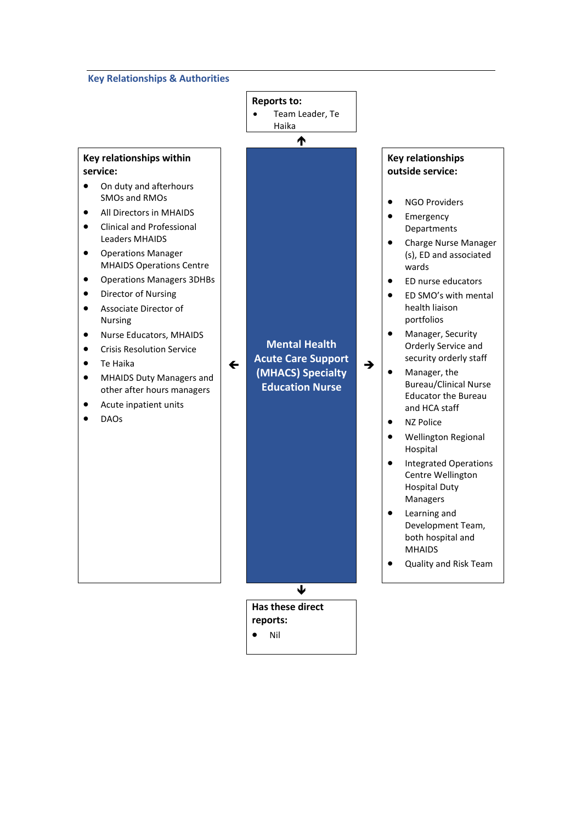### **Key Relationships & Authorities**

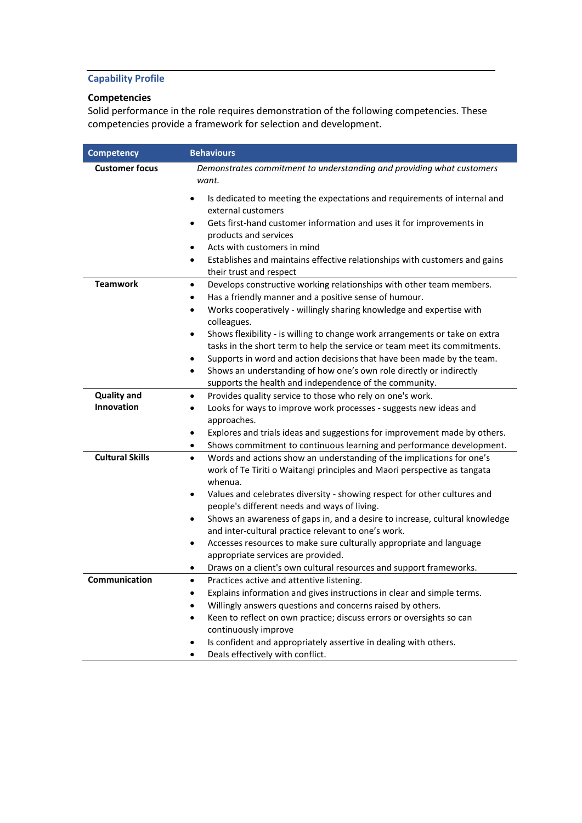# **Capability Profile**

### **Competencies**

Solid performance in the role requires demonstration of the following competencies. These competencies provide a framework for selection and development.

| <b>Competency</b>      | <b>Behaviours</b>                                                                                                                                                         |
|------------------------|---------------------------------------------------------------------------------------------------------------------------------------------------------------------------|
| <b>Customer focus</b>  | Demonstrates commitment to understanding and providing what customers<br>want.                                                                                            |
|                        | Is dedicated to meeting the expectations and requirements of internal and<br>external customers                                                                           |
|                        | Gets first-hand customer information and uses it for improvements in<br>$\bullet$<br>products and services                                                                |
|                        | Acts with customers in mind<br>$\bullet$<br>Establishes and maintains effective relationships with customers and gains<br>$\bullet$<br>their trust and respect            |
| <b>Teamwork</b>        | Develops constructive working relationships with other team members.<br>$\bullet$<br>Has a friendly manner and a positive sense of humour.<br>٠                           |
|                        | Works cooperatively - willingly sharing knowledge and expertise with<br>٠<br>colleagues.                                                                                  |
|                        | Shows flexibility - is willing to change work arrangements or take on extra<br>$\bullet$<br>tasks in the short term to help the service or team meet its commitments.     |
|                        | Supports in word and action decisions that have been made by the team.<br>٠                                                                                               |
|                        | Shows an understanding of how one's own role directly or indirectly<br>$\bullet$                                                                                          |
| <b>Quality and</b>     | supports the health and independence of the community.<br>Provides quality service to those who rely on one's work.                                                       |
| Innovation             | Looks for ways to improve work processes - suggests new ideas and                                                                                                         |
|                        | approaches.                                                                                                                                                               |
|                        | Explores and trials ideas and suggestions for improvement made by others.<br>$\bullet$                                                                                    |
|                        | Shows commitment to continuous learning and performance development.<br>٠                                                                                                 |
| <b>Cultural Skills</b> | Words and actions show an understanding of the implications for one's<br>$\bullet$<br>work of Te Tiriti o Waitangi principles and Maori perspective as tangata<br>whenua. |
|                        | Values and celebrates diversity - showing respect for other cultures and<br>people's different needs and ways of living.                                                  |
|                        | Shows an awareness of gaps in, and a desire to increase, cultural knowledge                                                                                               |
|                        | and inter-cultural practice relevant to one's work.                                                                                                                       |
|                        | Accesses resources to make sure culturally appropriate and language<br>$\bullet$                                                                                          |
|                        | appropriate services are provided.                                                                                                                                        |
|                        | Draws on a client's own cultural resources and support frameworks.                                                                                                        |
| Communication          | Practices active and attentive listening.                                                                                                                                 |
|                        | Explains information and gives instructions in clear and simple terms.<br>$\bullet$                                                                                       |
|                        | Willingly answers questions and concerns raised by others.                                                                                                                |
|                        | Keen to reflect on own practice; discuss errors or oversights so can<br>$\bullet$                                                                                         |
|                        | continuously improve<br>Is confident and appropriately assertive in dealing with others.                                                                                  |
|                        | Deals effectively with conflict.                                                                                                                                          |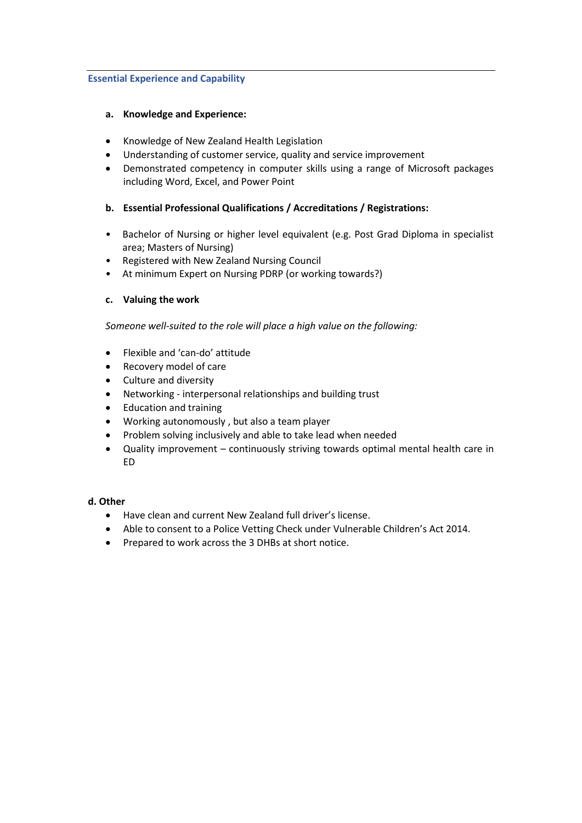### **Essential Experience and Capability**

### **a. Knowledge and Experience:**

- Knowledge of New Zealand Health Legislation
- Understanding of customer service, quality and service improvement
- Demonstrated competency in computer skills using a range of Microsoft packages including Word, Excel, and Power Point

### **b. Essential Professional Qualifications / Accreditations / Registrations:**

- Bachelor of Nursing or higher level equivalent (e.g. Post Grad Diploma in specialist area; Masters of Nursing)
- Registered with New Zealand Nursing Council
- At minimum Expert on Nursing PDRP (or working towards?)

### **c. Valuing the work**

*Someone well-suited to the role will place a high value on the following:*

- Flexible and 'can-do' attitude
- Recovery model of care
- Culture and diversity
- Networking interpersonal relationships and building trust
- Education and training
- Working autonomously , but also a team player
- Problem solving inclusively and able to take lead when needed
- Quality improvement continuously striving towards optimal mental health care in ED

### **d. Other**

- Have clean and current New Zealand full driver's license.
- Able to consent to a Police Vetting Check under Vulnerable Children's Act 2014.
- Prepared to work across the 3 DHBs at short notice.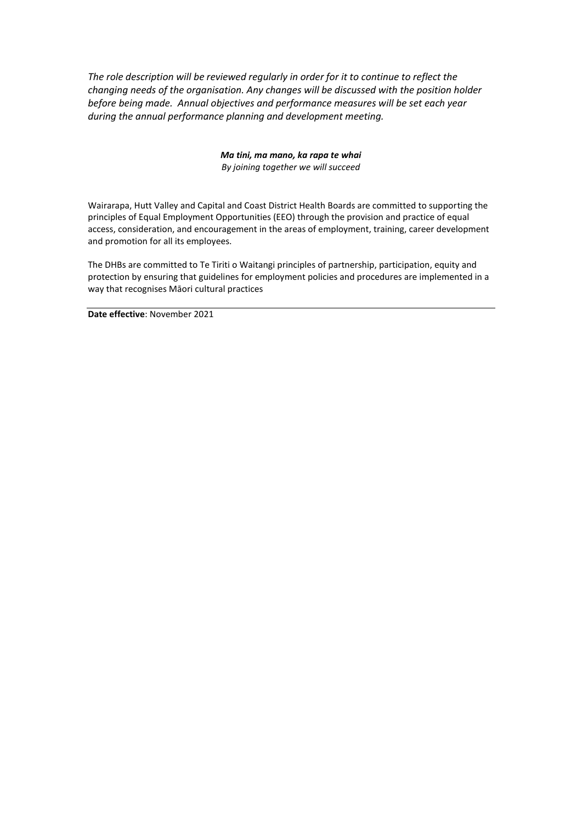*The role description will be reviewed regularly in order for it to continue to reflect the changing needs of the organisation. Any changes will be discussed with the position holder before being made. Annual objectives and performance measures will be set each year during the annual performance planning and development meeting.*

> *Ma tini, ma mano, ka rapa te whai By joining together we will succeed*

Wairarapa, Hutt Valley and Capital and Coast District Health Boards are committed to supporting the principles of Equal Employment Opportunities (EEO) through the provision and practice of equal access, consideration, and encouragement in the areas of employment, training, career development and promotion for all its employees.

The DHBs are committed to Te Tiriti o Waitangi principles of partnership, participation, equity and protection by ensuring that guidelines for employment policies and procedures are implemented in a way that recognises Māori cultural practices

**Date effective**: November 2021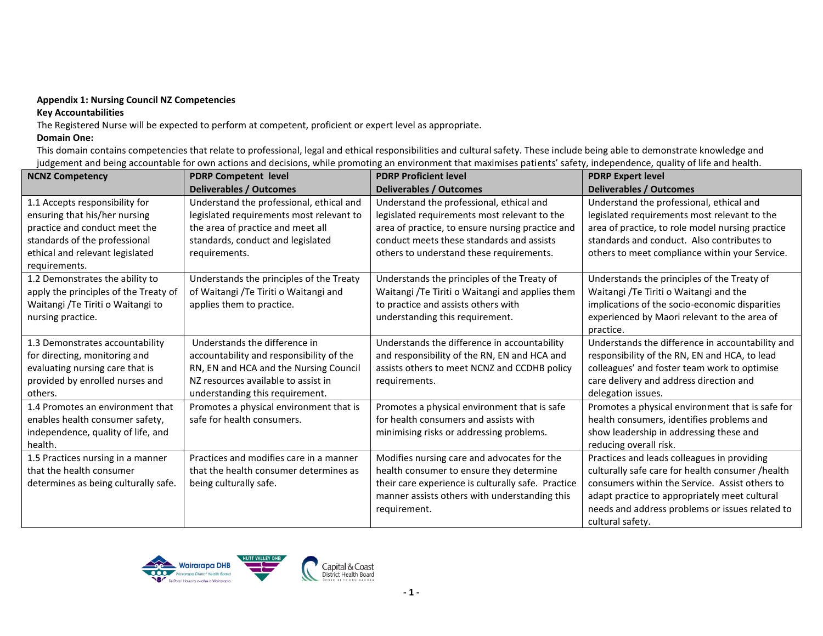### **Appendix 1: Nursing Council NZ Competencies**

### **Key Accountabilities**

The Registered Nurse will be expected to perform at competent, proficient or expert level as appropriate.

### **Domain One:**

This domain contains competencies that relate to professional, legal and ethical responsibilities and cultural safety. These include being able to demonstrate knowledge and judgement and being accountable for own actions and decisions, while promoting an environment that maximises patients' safety, independence, quality of life and health.

| <b>NCNZ Competency</b>                | <b>PDRP Competent level</b>              | <b>PDRP Proficient level</b>                       | <b>PDRP Expert level</b>                         |
|---------------------------------------|------------------------------------------|----------------------------------------------------|--------------------------------------------------|
|                                       | <b>Deliverables / Outcomes</b>           | <b>Deliverables / Outcomes</b>                     | <b>Deliverables / Outcomes</b>                   |
| 1.1 Accepts responsibility for        | Understand the professional, ethical and | Understand the professional, ethical and           | Understand the professional, ethical and         |
| ensuring that his/her nursing         | legislated requirements most relevant to | legislated requirements most relevant to the       | legislated requirements most relevant to the     |
| practice and conduct meet the         | the area of practice and meet all        | area of practice, to ensure nursing practice and   | area of practice, to role model nursing practice |
| standards of the professional         | standards, conduct and legislated        | conduct meets these standards and assists          | standards and conduct. Also contributes to       |
| ethical and relevant legislated       | requirements.                            | others to understand these requirements.           | others to meet compliance within your Service.   |
| requirements.                         |                                          |                                                    |                                                  |
| 1.2 Demonstrates the ability to       | Understands the principles of the Treaty | Understands the principles of the Treaty of        | Understands the principles of the Treaty of      |
| apply the principles of the Treaty of | of Waitangi /Te Tiriti o Waitangi and    | Waitangi /Te Tiriti o Waitangi and applies them    | Waitangi / Te Tiriti o Waitangi and the          |
| Waitangi /Te Tiriti o Waitangi to     | applies them to practice.                | to practice and assists others with                | implications of the socio-economic disparities   |
| nursing practice.                     |                                          | understanding this requirement.                    | experienced by Maori relevant to the area of     |
|                                       |                                          |                                                    | practice.                                        |
| 1.3 Demonstrates accountability       | Understands the difference in            | Understands the difference in accountability       | Understands the difference in accountability and |
| for directing, monitoring and         | accountability and responsibility of the | and responsibility of the RN, EN and HCA and       | responsibility of the RN, EN and HCA, to lead    |
| evaluating nursing care that is       | RN, EN and HCA and the Nursing Council   | assists others to meet NCNZ and CCDHB policy       | colleagues' and foster team work to optimise     |
| provided by enrolled nurses and       | NZ resources available to assist in      | requirements.                                      | care delivery and address direction and          |
| others.                               | understanding this requirement.          |                                                    | delegation issues.                               |
| 1.4 Promotes an environment that      | Promotes a physical environment that is  | Promotes a physical environment that is safe       | Promotes a physical environment that is safe for |
| enables health consumer safety,       | safe for health consumers.               | for health consumers and assists with              | health consumers, identifies problems and        |
| independence, quality of life, and    |                                          | minimising risks or addressing problems.           | show leadership in addressing these and          |
| health.                               |                                          |                                                    | reducing overall risk.                           |
| 1.5 Practices nursing in a manner     | Practices and modifies care in a manner  | Modifies nursing care and advocates for the        | Practices and leads colleagues in providing      |
| that the health consumer              | that the health consumer determines as   | health consumer to ensure they determine           | culturally safe care for health consumer /health |
| determines as being culturally safe.  | being culturally safe.                   | their care experience is culturally safe. Practice | consumers within the Service. Assist others to   |
|                                       |                                          | manner assists others with understanding this      | adapt practice to appropriately meet cultural    |
|                                       |                                          | requirement.                                       | needs and address problems or issues related to  |
|                                       |                                          |                                                    | cultural safety.                                 |

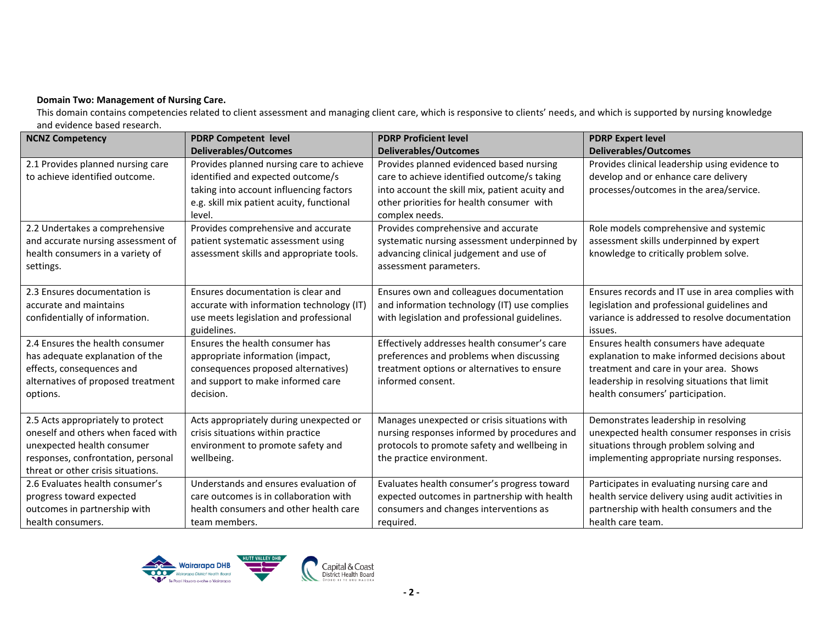### **Domain Two: Management of Nursing Care.**

This domain contains competencies related to client assessment and managing client care, which is responsive to clients' needs, and which is supported by nursing knowledge and evidence based research.

| <b>NCNZ Competency</b>                                                                                                                                                            | <b>PDRP Competent level</b>                                                                                                                                  | <b>PDRP Proficient level</b>                                                                                                                                              | <b>PDRP Expert level</b>                                                                                                                                                                                              |
|-----------------------------------------------------------------------------------------------------------------------------------------------------------------------------------|--------------------------------------------------------------------------------------------------------------------------------------------------------------|---------------------------------------------------------------------------------------------------------------------------------------------------------------------------|-----------------------------------------------------------------------------------------------------------------------------------------------------------------------------------------------------------------------|
|                                                                                                                                                                                   | <b>Deliverables/Outcomes</b>                                                                                                                                 | <b>Deliverables/Outcomes</b>                                                                                                                                              | <b>Deliverables/Outcomes</b>                                                                                                                                                                                          |
| 2.1 Provides planned nursing care<br>to achieve identified outcome.                                                                                                               | Provides planned nursing care to achieve<br>identified and expected outcome/s                                                                                | Provides planned evidenced based nursing<br>care to achieve identified outcome/s taking                                                                                   | Provides clinical leadership using evidence to<br>develop and or enhance care delivery                                                                                                                                |
|                                                                                                                                                                                   | taking into account influencing factors<br>e.g. skill mix patient acuity, functional<br>level.                                                               | into account the skill mix, patient acuity and<br>other priorities for health consumer with<br>complex needs.                                                             | processes/outcomes in the area/service.                                                                                                                                                                               |
| 2.2 Undertakes a comprehensive<br>and accurate nursing assessment of<br>health consumers in a variety of<br>settings.                                                             | Provides comprehensive and accurate<br>patient systematic assessment using<br>assessment skills and appropriate tools.                                       | Provides comprehensive and accurate<br>systematic nursing assessment underpinned by<br>advancing clinical judgement and use of<br>assessment parameters.                  | Role models comprehensive and systemic<br>assessment skills underpinned by expert<br>knowledge to critically problem solve.                                                                                           |
| 2.3 Ensures documentation is<br>accurate and maintains<br>confidentially of information.                                                                                          | Ensures documentation is clear and<br>accurate with information technology (IT)<br>use meets legislation and professional<br>guidelines.                     | Ensures own and colleagues documentation<br>and information technology (IT) use complies<br>with legislation and professional guidelines.                                 | Ensures records and IT use in area complies with<br>legislation and professional guidelines and<br>variance is addressed to resolve documentation<br>issues.                                                          |
| 2.4 Ensures the health consumer<br>has adequate explanation of the<br>effects, consequences and<br>alternatives of proposed treatment<br>options.                                 | Ensures the health consumer has<br>appropriate information (impact,<br>consequences proposed alternatives)<br>and support to make informed care<br>decision. | Effectively addresses health consumer's care<br>preferences and problems when discussing<br>treatment options or alternatives to ensure<br>informed consent.              | Ensures health consumers have adequate<br>explanation to make informed decisions about<br>treatment and care in your area. Shows<br>leadership in resolving situations that limit<br>health consumers' participation. |
| 2.5 Acts appropriately to protect<br>oneself and others when faced with<br>unexpected health consumer<br>responses, confrontation, personal<br>threat or other crisis situations. | Acts appropriately during unexpected or<br>crisis situations within practice<br>environment to promote safety and<br>wellbeing.                              | Manages unexpected or crisis situations with<br>nursing responses informed by procedures and<br>protocols to promote safety and wellbeing in<br>the practice environment. | Demonstrates leadership in resolving<br>unexpected health consumer responses in crisis<br>situations through problem solving and<br>implementing appropriate nursing responses.                                       |
| 2.6 Evaluates health consumer's<br>progress toward expected<br>outcomes in partnership with<br>health consumers.                                                                  | Understands and ensures evaluation of<br>care outcomes is in collaboration with<br>health consumers and other health care<br>team members.                   | Evaluates health consumer's progress toward<br>expected outcomes in partnership with health<br>consumers and changes interventions as<br>required.                        | Participates in evaluating nursing care and<br>health service delivery using audit activities in<br>partnership with health consumers and the<br>health care team.                                                    |

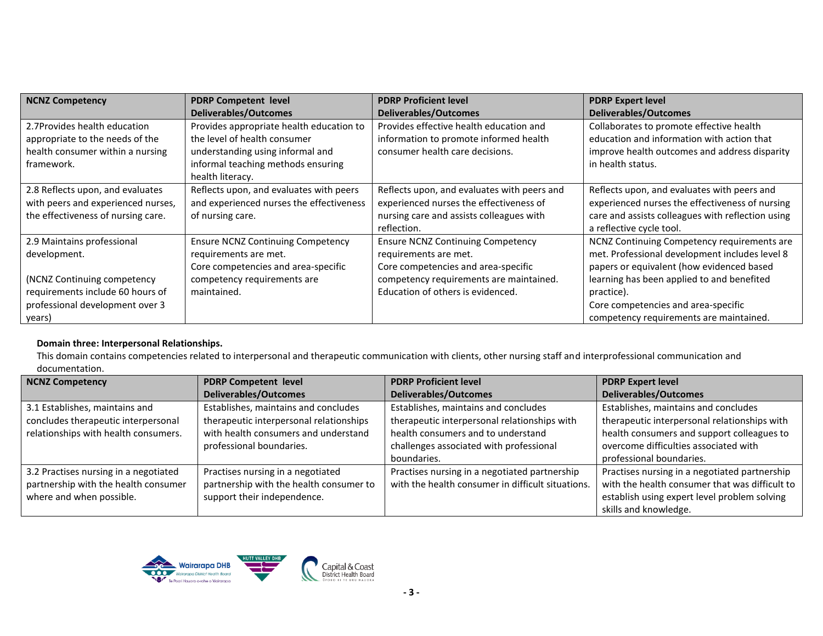| <b>NCNZ Competency</b>             | <b>PDRP Competent level</b>              | <b>PDRP Proficient level</b>                | <b>PDRP Expert level</b>                          |
|------------------------------------|------------------------------------------|---------------------------------------------|---------------------------------------------------|
|                                    | <b>Deliverables/Outcomes</b>             | <b>Deliverables/Outcomes</b>                | <b>Deliverables/Outcomes</b>                      |
| 2.7Provides health education       | Provides appropriate health education to | Provides effective health education and     | Collaborates to promote effective health          |
| appropriate to the needs of the    | the level of health consumer             | information to promote informed health      | education and information with action that        |
| health consumer within a nursing   | understanding using informal and         | consumer health care decisions.             | improve health outcomes and address disparity     |
| framework.                         | informal teaching methods ensuring       |                                             | in health status.                                 |
|                                    | health literacy.                         |                                             |                                                   |
| 2.8 Reflects upon, and evaluates   | Reflects upon, and evaluates with peers  | Reflects upon, and evaluates with peers and | Reflects upon, and evaluates with peers and       |
| with peers and experienced nurses, | and experienced nurses the effectiveness | experienced nurses the effectiveness of     | experienced nurses the effectiveness of nursing   |
| the effectiveness of nursing care. | of nursing care.                         | nursing care and assists colleagues with    | care and assists colleagues with reflection using |
|                                    |                                          | reflection.                                 | a reflective cycle tool.                          |
| 2.9 Maintains professional         | <b>Ensure NCNZ Continuing Competency</b> | <b>Ensure NCNZ Continuing Competency</b>    | NCNZ Continuing Competency requirements are       |
| development.                       | requirements are met.                    | requirements are met.                       | met. Professional development includes level 8    |
|                                    | Core competencies and area-specific      | Core competencies and area-specific         | papers or equivalent (how evidenced based         |
| (NCNZ Continuing competency)       | competency requirements are              | competency requirements are maintained.     | learning has been applied to and benefited        |
| requirements include 60 hours of   | maintained.                              | Education of others is evidenced.           | practice).                                        |
| professional development over 3    |                                          |                                             | Core competencies and area-specific               |
| years)                             |                                          |                                             | competency requirements are maintained.           |

### **Domain three: Interpersonal Relationships.**

This domain contains competencies related to interpersonal and therapeutic communication with clients, other nursing staff and interprofessional communication and documentation.

| <b>NCNZ Competency</b>                | <b>PDRP Competent level</b>             | <b>PDRP Proficient level</b>                      | <b>PDRP Expert level</b>                       |
|---------------------------------------|-----------------------------------------|---------------------------------------------------|------------------------------------------------|
|                                       | <b>Deliverables/Outcomes</b>            | <b>Deliverables/Outcomes</b>                      | <b>Deliverables/Outcomes</b>                   |
| 3.1 Establishes, maintains and        | Establishes, maintains and concludes    | Establishes, maintains and concludes              | Establishes, maintains and concludes           |
| concludes therapeutic interpersonal   | therapeutic interpersonal relationships | therapeutic interpersonal relationships with      | therapeutic interpersonal relationships with   |
| relationships with health consumers.  | with health consumers and understand    | health consumers and to understand                | health consumers and support colleagues to     |
|                                       | professional boundaries.                | challenges associated with professional           | overcome difficulties associated with          |
|                                       |                                         | boundaries.                                       | professional boundaries.                       |
| 3.2 Practises nursing in a negotiated | Practises nursing in a negotiated       | Practises nursing in a negotiated partnership     | Practises nursing in a negotiated partnership  |
| partnership with the health consumer  | partnership with the health consumer to | with the health consumer in difficult situations. | with the health consumer that was difficult to |
| where and when possible.              | support their independence.             |                                                   | establish using expert level problem solving   |
|                                       |                                         |                                                   | skills and knowledge.                          |

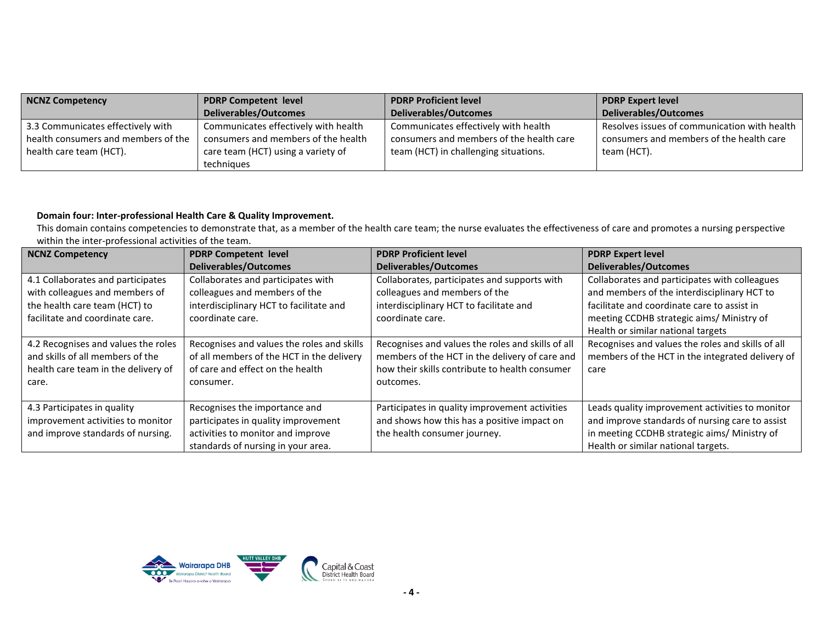| NCNZ Competency                     | <b>PDRP Competent level</b>          | <b>PDRP Proficient level</b>             | <b>PDRP Expert level</b>                     |
|-------------------------------------|--------------------------------------|------------------------------------------|----------------------------------------------|
|                                     | Deliverables/Outcomes                | Deliverables/Outcomes                    | Deliverables/Outcomes                        |
| 3.3 Communicates effectively with   | Communicates effectively with health | Communicates effectively with health     | Resolves issues of communication with health |
| health consumers and members of the | consumers and members of the health  | consumers and members of the health care | consumers and members of the health care     |
| health care team (HCT).             | care team (HCT) using a variety of   | team (HCT) in challenging situations.    | team (HCT).                                  |
|                                     | techniques                           |                                          |                                              |

### **Domain four: Inter-professional Health Care & Quality Improvement.**

This domain contains competencies to demonstrate that, as a member of the health care team; the nurse evaluates the effectiveness of care and promotes a nursing perspective within the inter-professional activities of the team.

| <b>NCNZ Competency</b>                                                                                                  | <b>PDRP Competent level</b>                                                                                                                     | <b>PDRP Proficient level</b>                                                                                                                                       | <b>PDRP Expert level</b>                                                                                                                                                                  |
|-------------------------------------------------------------------------------------------------------------------------|-------------------------------------------------------------------------------------------------------------------------------------------------|--------------------------------------------------------------------------------------------------------------------------------------------------------------------|-------------------------------------------------------------------------------------------------------------------------------------------------------------------------------------------|
|                                                                                                                         | <b>Deliverables/Outcomes</b>                                                                                                                    | <b>Deliverables/Outcomes</b>                                                                                                                                       | <b>Deliverables/Outcomes</b>                                                                                                                                                              |
| 4.1 Collaborates and participates<br>with colleagues and members of<br>the health care team (HCT) to                    | Collaborates and participates with<br>colleagues and members of the<br>interdisciplinary HCT to facilitate and                                  | Collaborates, participates and supports with<br>colleagues and members of the<br>interdisciplinary HCT to facilitate and                                           | Collaborates and participates with colleagues<br>and members of the interdisciplinary HCT to<br>facilitate and coordinate care to assist in                                               |
| facilitate and coordinate care.                                                                                         | coordinate care.                                                                                                                                | coordinate care.                                                                                                                                                   | meeting CCDHB strategic aims/ Ministry of<br>Health or similar national targets                                                                                                           |
| 4.2 Recognises and values the roles<br>and skills of all members of the<br>health care team in the delivery of<br>care. | Recognises and values the roles and skills<br>of all members of the HCT in the delivery<br>of care and effect on the health<br>consumer.        | Recognises and values the roles and skills of all<br>members of the HCT in the delivery of care and<br>how their skills contribute to health consumer<br>outcomes. | Recognises and values the roles and skills of all<br>members of the HCT in the integrated delivery of<br>care                                                                             |
| 4.3 Participates in quality<br>improvement activities to monitor<br>and improve standards of nursing.                   | Recognises the importance and<br>participates in quality improvement<br>activities to monitor and improve<br>standards of nursing in your area. | Participates in quality improvement activities<br>and shows how this has a positive impact on<br>the health consumer journey.                                      | Leads quality improvement activities to monitor<br>and improve standards of nursing care to assist<br>in meeting CCDHB strategic aims/ Ministry of<br>Health or similar national targets. |